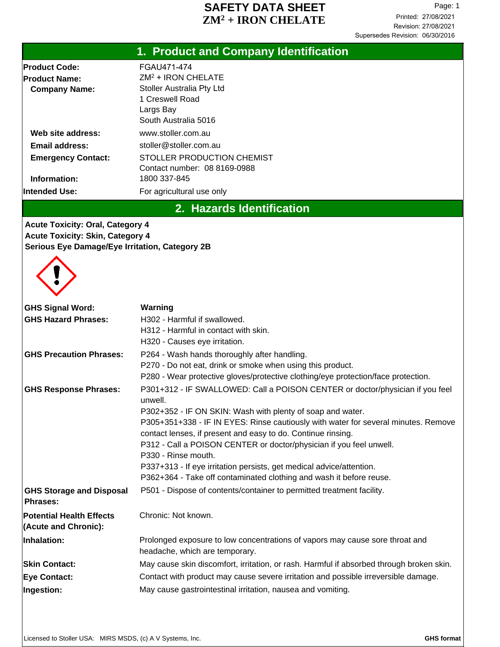### **SAFETY DATA SHEET** Page: 1 **ZM<sup>2</sup> + IRON CHELATE**

# **1. Product and Company Identification**

| FGAU471-474                      |
|----------------------------------|
| $ZM2$ + IRON CHELATE             |
| <b>Stoller Australia Pty Ltd</b> |
| 1 Creswell Road                  |
| Largs Bay                        |
| South Australia 5016             |
| www.stoller.com.au               |
| stoller@stoller.com.au           |
| STOLLER PRODUCTION CHEMIST       |
| Contact number: 08 8169-0988     |
| 1800 337-845                     |
| For agricultural use only        |
|                                  |

## **2. Hazards Identification**

**Acute Toxicity: Oral, Category 4 Acute Toxicity: Skin, Category 4 Serious Eye Damage/Eye Irritation, Category 2B**



| <b>GHS Signal Word:</b><br><b>GHS Hazard Phrases:</b>   | Warning<br>H <sub>302</sub> - Harmful if swallowed.<br>H312 - Harmful in contact with skin.<br>H320 - Causes eye irritation.                                                                                                                                                                                                                                                                                                                                                                                                                              |
|---------------------------------------------------------|-----------------------------------------------------------------------------------------------------------------------------------------------------------------------------------------------------------------------------------------------------------------------------------------------------------------------------------------------------------------------------------------------------------------------------------------------------------------------------------------------------------------------------------------------------------|
| <b>GHS Precaution Phrases:</b>                          | P264 - Wash hands thoroughly after handling.<br>P270 - Do not eat, drink or smoke when using this product.<br>P280 - Wear protective gloves/protective clothing/eye protection/face protection.                                                                                                                                                                                                                                                                                                                                                           |
| <b>GHS Response Phrases:</b>                            | P301+312 - IF SWALLOWED: Call a POISON CENTER or doctor/physician if you feel<br>unwell.<br>P302+352 - IF ON SKIN: Wash with plenty of soap and water.<br>P305+351+338 - IF IN EYES: Rinse cautiously with water for several minutes. Remove<br>contact lenses, if present and easy to do. Continue rinsing.<br>P312 - Call a POISON CENTER or doctor/physician if you feel unwell.<br>P330 - Rinse mouth.<br>P337+313 - If eye irritation persists, get medical advice/attention.<br>P362+364 - Take off contaminated clothing and wash it before reuse. |
| <b>GHS Storage and Disposal</b><br><b>Phrases:</b>      | P501 - Dispose of contents/container to permitted treatment facility.                                                                                                                                                                                                                                                                                                                                                                                                                                                                                     |
| <b>Potential Health Effects</b><br>(Acute and Chronic): | Chronic: Not known.                                                                                                                                                                                                                                                                                                                                                                                                                                                                                                                                       |
| Inhalation:                                             | Prolonged exposure to low concentrations of vapors may cause sore throat and<br>headache, which are temporary.                                                                                                                                                                                                                                                                                                                                                                                                                                            |
| <b>Skin Contact:</b>                                    | May cause skin discomfort, irritation, or rash. Harmful if absorbed through broken skin.                                                                                                                                                                                                                                                                                                                                                                                                                                                                  |
| <b>Eye Contact:</b>                                     | Contact with product may cause severe irritation and possible irreversible damage.                                                                                                                                                                                                                                                                                                                                                                                                                                                                        |
| Ingestion:                                              | May cause gastrointestinal irritation, nausea and vomiting.                                                                                                                                                                                                                                                                                                                                                                                                                                                                                               |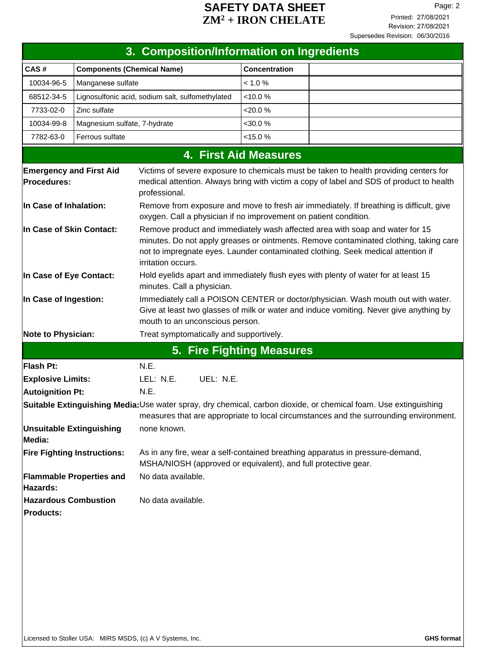### **SAFETY DATA SHEET** Page: 2 **ZM<sup>2</sup> + IRON CHELATE**

| 3. Composition/Information on Ingredients       |                                    |                                                                                                                                                                                                                                                                                 |                      |                                                                                                                                                                                   |  |
|-------------------------------------------------|------------------------------------|---------------------------------------------------------------------------------------------------------------------------------------------------------------------------------------------------------------------------------------------------------------------------------|----------------------|-----------------------------------------------------------------------------------------------------------------------------------------------------------------------------------|--|
| CAS#                                            | <b>Components (Chemical Name)</b>  |                                                                                                                                                                                                                                                                                 | <b>Concentration</b> |                                                                                                                                                                                   |  |
| 10034-96-5                                      | Manganese sulfate                  |                                                                                                                                                                                                                                                                                 | < 1.0 %              |                                                                                                                                                                                   |  |
| 68512-34-5                                      |                                    | Lignosulfonic acid, sodium salt, sulfomethylated                                                                                                                                                                                                                                | < 10.0 %             |                                                                                                                                                                                   |  |
| 7733-02-0                                       | Zinc sulfate                       |                                                                                                                                                                                                                                                                                 | <20.0 %              |                                                                                                                                                                                   |  |
| 10034-99-8                                      | Magnesium sulfate, 7-hydrate       |                                                                                                                                                                                                                                                                                 | $<$ 30.0 %           |                                                                                                                                                                                   |  |
| 7782-63-0                                       | Ferrous sulfate                    |                                                                                                                                                                                                                                                                                 | < 15.0 %             |                                                                                                                                                                                   |  |
|                                                 | <b>4. First Aid Measures</b>       |                                                                                                                                                                                                                                                                                 |                      |                                                                                                                                                                                   |  |
| <b>Emergency and First Aid</b><br>Procedures:   |                                    | professional.                                                                                                                                                                                                                                                                   |                      | Victims of severe exposure to chemicals must be taken to health providing centers for<br>medical attention. Always bring with victim a copy of label and SDS of product to health |  |
| In Case of Inhalation:                          |                                    | Remove from exposure and move to fresh air immediately. If breathing is difficult, give<br>oxygen. Call a physician if no improvement on patient condition.                                                                                                                     |                      |                                                                                                                                                                                   |  |
| In Case of Skin Contact:                        |                                    | Remove product and immediately wash affected area with soap and water for 15<br>minutes. Do not apply greases or ointments. Remove contaminated clothing, taking care<br>not to impregnate eyes. Launder contaminated clothing. Seek medical attention if<br>irritation occurs. |                      |                                                                                                                                                                                   |  |
| In Case of Eye Contact:                         |                                    | Hold eyelids apart and immediately flush eyes with plenty of water for at least 15<br>minutes. Call a physician.                                                                                                                                                                |                      |                                                                                                                                                                                   |  |
| In Case of Ingestion:                           |                                    | Immediately call a POISON CENTER or doctor/physician. Wash mouth out with water.<br>Give at least two glasses of milk or water and induce vomiting. Never give anything by<br>mouth to an unconscious person.                                                                   |                      |                                                                                                                                                                                   |  |
| <b>Note to Physician:</b>                       |                                    | Treat symptomatically and supportively.                                                                                                                                                                                                                                         |                      |                                                                                                                                                                                   |  |
|                                                 |                                    | <b>5. Fire Fighting Measures</b>                                                                                                                                                                                                                                                |                      |                                                                                                                                                                                   |  |
| Flash Pt:                                       |                                    | N.E.                                                                                                                                                                                                                                                                            |                      |                                                                                                                                                                                   |  |
| <b>Explosive Limits:</b>                        |                                    | UEL: N.E.<br>LEL: N.E.                                                                                                                                                                                                                                                          |                      |                                                                                                                                                                                   |  |
| Autoignition Pt:                                |                                    | N.E.                                                                                                                                                                                                                                                                            |                      |                                                                                                                                                                                   |  |
|                                                 |                                    |                                                                                                                                                                                                                                                                                 |                      | Suitable Extinguishing Media:Use water spray, dry chemical, carbon dioxide, or chemical foam. Use extinguishing                                                                   |  |
|                                                 |                                    |                                                                                                                                                                                                                                                                                 |                      | measures that are appropriate to local circumstances and the surrounding environment.                                                                                             |  |
| <b>Unsuitable Extinguishing</b><br>Media:       |                                    | none known.                                                                                                                                                                                                                                                                     |                      |                                                                                                                                                                                   |  |
|                                                 | <b>Fire Fighting Instructions:</b> | MSHA/NIOSH (approved or equivalent), and full protective gear.                                                                                                                                                                                                                  |                      | As in any fire, wear a self-contained breathing apparatus in pressure-demand,                                                                                                     |  |
| Hazards:                                        | <b>Flammable Properties and</b>    | No data available.                                                                                                                                                                                                                                                              |                      |                                                                                                                                                                                   |  |
| <b>Hazardous Combustion</b><br><b>Products:</b> |                                    | No data available.                                                                                                                                                                                                                                                              |                      |                                                                                                                                                                                   |  |
|                                                 |                                    |                                                                                                                                                                                                                                                                                 |                      |                                                                                                                                                                                   |  |
|                                                 |                                    |                                                                                                                                                                                                                                                                                 |                      |                                                                                                                                                                                   |  |
|                                                 |                                    |                                                                                                                                                                                                                                                                                 |                      |                                                                                                                                                                                   |  |
|                                                 |                                    |                                                                                                                                                                                                                                                                                 |                      |                                                                                                                                                                                   |  |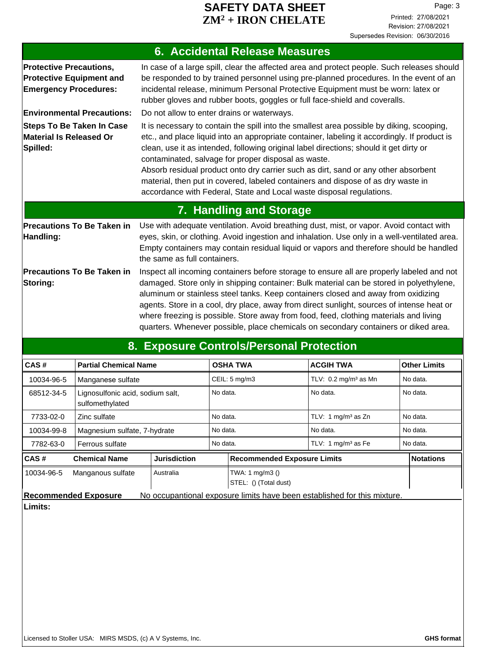### **SAFETY DATA SHEET** Page: 3 **ZM<sup>2</sup> + IRON CHELATE**

| <b>6. Accidental Release Measures</b>                                                             |                                                                                                                                                                                                                                                                                                                                                                                                                                                                                                                                                                                              |  |  |
|---------------------------------------------------------------------------------------------------|----------------------------------------------------------------------------------------------------------------------------------------------------------------------------------------------------------------------------------------------------------------------------------------------------------------------------------------------------------------------------------------------------------------------------------------------------------------------------------------------------------------------------------------------------------------------------------------------|--|--|
| <b>Protective Precautions,</b><br><b>Protective Equipment and</b><br><b>Emergency Procedures:</b> | In case of a large spill, clear the affected area and protect people. Such releases should<br>be responded to by trained personnel using pre-planned procedures. In the event of an<br>incidental release, minimum Personal Protective Equipment must be worn: latex or<br>rubber gloves and rubber boots, goggles or full face-shield and coveralls.                                                                                                                                                                                                                                        |  |  |
| <b>Environmental Precautions:</b>                                                                 | Do not allow to enter drains or waterways.                                                                                                                                                                                                                                                                                                                                                                                                                                                                                                                                                   |  |  |
| <b>Steps To Be Taken In Case</b><br><b>Material Is Released Or</b><br>Spilled:                    | It is necessary to contain the spill into the smallest area possible by diking, scooping,<br>etc., and place liquid into an appropriate container, labeling it accordingly. If product is<br>clean, use it as intended, following original label directions; should it get dirty or<br>contaminated, salvage for proper disposal as waste.<br>Absorb residual product onto dry carrier such as dirt, sand or any other absorbent<br>material, then put in covered, labeled containers and dispose of as dry waste in<br>accordance with Federal, State and Local waste disposal regulations. |  |  |
|                                                                                                   | <b>7. Handling and Storage</b>                                                                                                                                                                                                                                                                                                                                                                                                                                                                                                                                                               |  |  |
| <b>Precautions To Be Taken in</b><br>Handling:                                                    | Use with adequate ventilation. Avoid breathing dust, mist, or vapor. Avoid contact with<br>eyes, skin, or clothing. Avoid ingestion and inhalation. Use only in a well-ventilated area.<br>Empty containers may contain residual liquid or vapors and therefore should be handled<br>the same as full containers.                                                                                                                                                                                                                                                                            |  |  |
| <b>Precautions To Be Taken in</b><br>Storing:                                                     | Inspect all incoming containers before storage to ensure all are properly labeled and not<br>damaged. Store only in shipping container: Bulk material can be stored in polyethylene,<br>aluminum or stainless steel tanks. Keep containers closed and away from oxidizing<br>agents. Store in a cool, dry place, away from direct sunlight, sources of intense heat or<br>where freezing is possible. Store away from food, feed, clothing materials and living<br>quarters. Whenever possible, place chemicals on secondary containers or diked area.                                       |  |  |
|                                                                                                   | 8. Exposure Controls/Personal Protection                                                                                                                                                                                                                                                                                                                                                                                                                                                                                                                                                     |  |  |

| CAS#                                                                                                    | <b>Partial Chemical Name</b>                        |                     |          | <b>OSHA TWA</b>                          | <b>ACGIH TWA</b>                | <b>Other Limits</b> |
|---------------------------------------------------------------------------------------------------------|-----------------------------------------------------|---------------------|----------|------------------------------------------|---------------------------------|---------------------|
| 10034-96-5                                                                                              | Manganese sulfate                                   |                     |          | CEIL: $5 \text{ mg/m}$ 3                 | TLV: $0.2 \text{ mg/m}^3$ as Mn | No data.            |
| 68512-34-5                                                                                              | Lignosulfonic acid, sodium salt,<br>sulfomethylated |                     | No data. |                                          | No data.                        | No data.            |
| 7733-02-0                                                                                               | Zinc sulfate                                        |                     | No data. |                                          | TLV: 1 $mq/m3$ as Zn            | No data.            |
| 10034-99-8                                                                                              | Magnesium sulfate, 7-hydrate                        |                     | No data. |                                          | No data.                        | No data.            |
| 7782-63-0                                                                                               | Ferrous sulfate                                     |                     | No data. |                                          | TLV: 1 mg/m <sup>3</sup> as Fe  | No data.            |
| CAS#                                                                                                    | <b>Chemical Name</b>                                | <b>Jurisdiction</b> |          | <b>Recommended Exposure Limits</b>       |                                 | <b>Notations</b>    |
| 10034-96-5                                                                                              | Manganous sulfate                                   | Australia           |          | TWA: 1 mg/m3 ()<br>STEL: () (Total dust) |                                 |                     |
| No occupantional exposure limits have been established for this mixture.<br><b>Recommended Exposure</b> |                                                     |                     |          |                                          |                                 |                     |

**Limits:**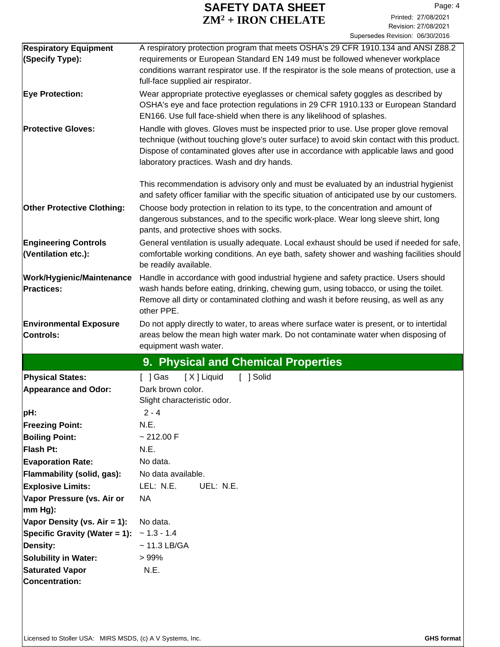### **SAFETY DATA SHEET** Page: 4 **ZM<sup>2</sup> + IRON CHELATE**

| <b>Respiratory Equipment</b>      | A respiratory protection program that meets OSHA's 29 CFR 1910.134 and ANSI Z88.2                                                                                                   |  |  |  |
|-----------------------------------|-------------------------------------------------------------------------------------------------------------------------------------------------------------------------------------|--|--|--|
| (Specify Type):                   | requirements or European Standard EN 149 must be followed whenever workplace                                                                                                        |  |  |  |
|                                   | conditions warrant respirator use. If the respirator is the sole means of protection, use a                                                                                         |  |  |  |
|                                   | full-face supplied air respirator.                                                                                                                                                  |  |  |  |
| <b>Eye Protection:</b>            | Wear appropriate protective eyeglasses or chemical safety goggles as described by                                                                                                   |  |  |  |
|                                   | OSHA's eye and face protection regulations in 29 CFR 1910.133 or European Standard                                                                                                  |  |  |  |
|                                   | EN166. Use full face-shield when there is any likelihood of splashes.                                                                                                               |  |  |  |
| <b>Protective Gloves:</b>         | Handle with gloves. Gloves must be inspected prior to use. Use proper glove removal                                                                                                 |  |  |  |
|                                   | technique (without touching glove's outer surface) to avoid skin contact with this product.<br>Dispose of contaminated gloves after use in accordance with applicable laws and good |  |  |  |
|                                   | laboratory practices. Wash and dry hands.                                                                                                                                           |  |  |  |
|                                   |                                                                                                                                                                                     |  |  |  |
|                                   | This recommendation is advisory only and must be evaluated by an industrial hygienist                                                                                               |  |  |  |
|                                   | and safety officer familiar with the specific situation of anticipated use by our customers.                                                                                        |  |  |  |
| <b>Other Protective Clothing:</b> | Choose body protection in relation to its type, to the concentration and amount of                                                                                                  |  |  |  |
|                                   | dangerous substances, and to the specific work-place. Wear long sleeve shirt, long                                                                                                  |  |  |  |
|                                   | pants, and protective shoes with socks.                                                                                                                                             |  |  |  |
| <b>Engineering Controls</b>       | General ventilation is usually adequate. Local exhaust should be used if needed for safe,                                                                                           |  |  |  |
| (Ventilation etc.):               | comfortable working conditions. An eye bath, safety shower and washing facilities should                                                                                            |  |  |  |
|                                   | be readily available.                                                                                                                                                               |  |  |  |
| <b>Work/Hygienic/Maintenance</b>  | Handle in accordance with good industrial hygiene and safety practice. Users should                                                                                                 |  |  |  |
| <b>Practices:</b>                 | wash hands before eating, drinking, chewing gum, using tobacco, or using the toilet.                                                                                                |  |  |  |
|                                   | Remove all dirty or contaminated clothing and wash it before reusing, as well as any                                                                                                |  |  |  |
|                                   | other PPE.                                                                                                                                                                          |  |  |  |
| <b>Environmental Exposure</b>     | Do not apply directly to water, to areas where surface water is present, or to intertidal                                                                                           |  |  |  |
| <b>Controls:</b>                  | areas below the mean high water mark. Do not contaminate water when disposing of                                                                                                    |  |  |  |
|                                   | equipment wash water.                                                                                                                                                               |  |  |  |
|                                   | 9. Physical and Chemical Properties                                                                                                                                                 |  |  |  |
| <b>Physical States:</b>           | [X] Liquid<br>[ ] Solid<br>$[$ ] Gas                                                                                                                                                |  |  |  |
| <b>Appearance and Odor:</b>       | Dark brown color.                                                                                                                                                                   |  |  |  |
|                                   | Slight characteristic odor.                                                                                                                                                         |  |  |  |
| pH:                               | $2 - 4$                                                                                                                                                                             |  |  |  |
| <b>Freezing Point:</b>            | N.E.                                                                                                                                                                                |  |  |  |
| <b>Boiling Point:</b>             | ~212.00 F                                                                                                                                                                           |  |  |  |
| Flash Pt:                         | N.E.                                                                                                                                                                                |  |  |  |
| <b>Evaporation Rate:</b>          | No data.                                                                                                                                                                            |  |  |  |
| Flammability (solid, gas):        | No data available.                                                                                                                                                                  |  |  |  |
| <b>Explosive Limits:</b>          | LEL: N.E.<br>UEL: N.E.                                                                                                                                                              |  |  |  |
| Vapor Pressure (vs. Air or        | NA                                                                                                                                                                                  |  |  |  |
| mm Hg):                           |                                                                                                                                                                                     |  |  |  |
| Vapor Density (vs. Air = 1):      | No data.                                                                                                                                                                            |  |  |  |
| Specific Gravity (Water = 1):     | $~1.3 - 1.4$                                                                                                                                                                        |  |  |  |
| Density:                          | $\sim$ 11.3 LB/GA                                                                                                                                                                   |  |  |  |
| <b>Solubility in Water:</b>       | >99%                                                                                                                                                                                |  |  |  |
| <b>Saturated Vapor</b>            | N.E.                                                                                                                                                                                |  |  |  |
| Concentration:                    |                                                                                                                                                                                     |  |  |  |
|                                   |                                                                                                                                                                                     |  |  |  |
|                                   |                                                                                                                                                                                     |  |  |  |
|                                   |                                                                                                                                                                                     |  |  |  |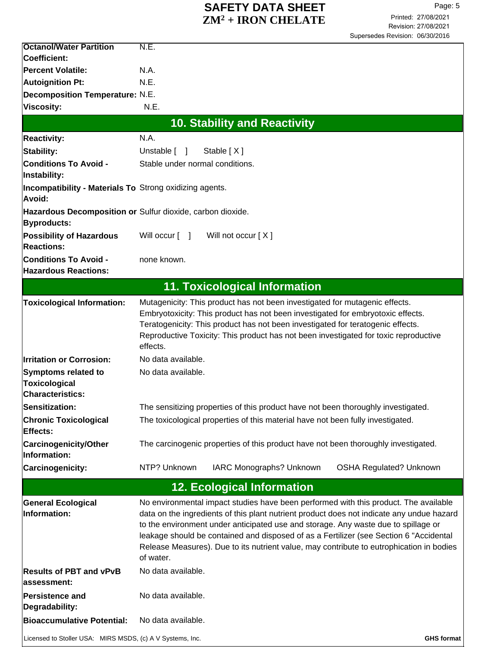### **SAFETY DATA SHEET** Page: 5 **ZM<sup>2</sup> + IRON CHELATE**

| <b>Octanol/Water Partition</b>                                                | N.E.                                                                                                                                                                                                                                                                                                                                                                                                                                                                       |
|-------------------------------------------------------------------------------|----------------------------------------------------------------------------------------------------------------------------------------------------------------------------------------------------------------------------------------------------------------------------------------------------------------------------------------------------------------------------------------------------------------------------------------------------------------------------|
| <b>Coefficient:</b>                                                           |                                                                                                                                                                                                                                                                                                                                                                                                                                                                            |
| Percent Volatile:                                                             | N.A.                                                                                                                                                                                                                                                                                                                                                                                                                                                                       |
| <b>Autoignition Pt:</b>                                                       | N.E.                                                                                                                                                                                                                                                                                                                                                                                                                                                                       |
| Decomposition Temperature: N.E.<br><b>Viscosity:</b>                          | N.E.                                                                                                                                                                                                                                                                                                                                                                                                                                                                       |
|                                                                               |                                                                                                                                                                                                                                                                                                                                                                                                                                                                            |
|                                                                               | <b>10. Stability and Reactivity</b>                                                                                                                                                                                                                                                                                                                                                                                                                                        |
| <b>Reactivity:</b>                                                            | N.A.                                                                                                                                                                                                                                                                                                                                                                                                                                                                       |
| Stability:                                                                    | Unstable [ ]<br>Stable [X]                                                                                                                                                                                                                                                                                                                                                                                                                                                 |
| <b>Conditions To Avoid -</b><br>Instability:                                  | Stable under normal conditions.                                                                                                                                                                                                                                                                                                                                                                                                                                            |
| <b>Incompatibility - Materials To Strong oxidizing agents.</b><br>Avoid:      |                                                                                                                                                                                                                                                                                                                                                                                                                                                                            |
| Byproducts:                                                                   | Hazardous Decomposition or Sulfur dioxide, carbon dioxide.                                                                                                                                                                                                                                                                                                                                                                                                                 |
| <b>Possibility of Hazardous</b><br><b>Reactions:</b>                          | Will occur [ ]<br>Will not occur [X]                                                                                                                                                                                                                                                                                                                                                                                                                                       |
| <b>Conditions To Avoid -</b><br><b>Hazardous Reactions:</b>                   | none known.                                                                                                                                                                                                                                                                                                                                                                                                                                                                |
|                                                                               | <b>11. Toxicological Information</b>                                                                                                                                                                                                                                                                                                                                                                                                                                       |
|                                                                               | Mutagenicity: This product has not been investigated for mutagenic effects.                                                                                                                                                                                                                                                                                                                                                                                                |
| <b>Toxicological Information:</b>                                             | Embryotoxicity: This product has not been investigated for embryotoxic effects.<br>Teratogenicity: This product has not been investigated for teratogenic effects.<br>Reproductive Toxicity: This product has not been investigated for toxic reproductive<br>effects.                                                                                                                                                                                                     |
| <b>Irritation or Corrosion:</b>                                               | No data available.                                                                                                                                                                                                                                                                                                                                                                                                                                                         |
| <b>Symptoms related to</b><br><b>Toxicological</b><br><b>Characteristics:</b> | No data available.                                                                                                                                                                                                                                                                                                                                                                                                                                                         |
| Sensitization:                                                                | The sensitizing properties of this product have not been thoroughly investigated.                                                                                                                                                                                                                                                                                                                                                                                          |
| <b>Chronic Toxicological</b><br>Effects:                                      | The toxicological properties of this material have not been fully investigated.                                                                                                                                                                                                                                                                                                                                                                                            |
| <b>Carcinogenicity/Other</b><br>Information:                                  | The carcinogenic properties of this product have not been thoroughly investigated.                                                                                                                                                                                                                                                                                                                                                                                         |
| <b>Carcinogenicity:</b>                                                       | NTP? Unknown<br>IARC Monographs? Unknown<br><b>OSHA Regulated? Unknown</b>                                                                                                                                                                                                                                                                                                                                                                                                 |
|                                                                               | <b>12. Ecological Information</b>                                                                                                                                                                                                                                                                                                                                                                                                                                          |
| <b>General Ecological</b><br>Information:                                     | No environmental impact studies have been performed with this product. The available<br>data on the ingredients of this plant nutrient product does not indicate any undue hazard<br>to the environment under anticipated use and storage. Any waste due to spillage or<br>leakage should be contained and disposed of as a Fertilizer (see Section 6 "Accidental<br>Release Measures). Due to its nutrient value, may contribute to eutrophication in bodies<br>of water. |
| <b>Results of PBT and vPvB</b><br>assessment:                                 | No data available.                                                                                                                                                                                                                                                                                                                                                                                                                                                         |
| Persistence and<br>Degradability:                                             | No data available.                                                                                                                                                                                                                                                                                                                                                                                                                                                         |
| <b>Bioaccumulative Potential:</b>                                             | No data available.                                                                                                                                                                                                                                                                                                                                                                                                                                                         |
| Licensed to Stoller USA: MIRS MSDS, (c) A V Systems, Inc.                     | <b>GHS format</b>                                                                                                                                                                                                                                                                                                                                                                                                                                                          |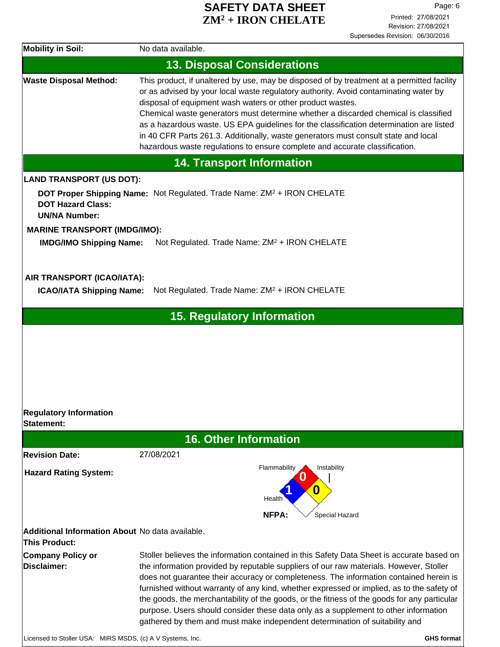### **SAFETY DATA SHEET** Page: 6 **ZM<sup>2</sup> + IRON CHELATE**

| <b>Mobility in Soil:</b>                                         | No data available.                                                                                                                                                                                                                                                                                                                                                                                                                                                                                                                                                                                                                              |
|------------------------------------------------------------------|-------------------------------------------------------------------------------------------------------------------------------------------------------------------------------------------------------------------------------------------------------------------------------------------------------------------------------------------------------------------------------------------------------------------------------------------------------------------------------------------------------------------------------------------------------------------------------------------------------------------------------------------------|
|                                                                  | <b>13. Disposal Considerations</b>                                                                                                                                                                                                                                                                                                                                                                                                                                                                                                                                                                                                              |
| <b>Waste Disposal Method:</b>                                    | This product, if unaltered by use, may be disposed of by treatment at a permitted facility<br>or as advised by your local waste regulatory authority. Avoid contaminating water by<br>disposal of equipment wash waters or other product wastes.<br>Chemical waste generators must determine whether a discarded chemical is classified<br>as a hazardous waste. US EPA guidelines for the classification determination are listed<br>in 40 CFR Parts 261.3. Additionally, waste generators must consult state and local<br>hazardous waste regulations to ensure complete and accurate classification.                                         |
|                                                                  | <b>14. Transport Information</b>                                                                                                                                                                                                                                                                                                                                                                                                                                                                                                                                                                                                                |
| <b>LAND TRANSPORT (US DOT):</b>                                  |                                                                                                                                                                                                                                                                                                                                                                                                                                                                                                                                                                                                                                                 |
| <b>DOT Hazard Class:</b><br><b>UN/NA Number:</b>                 | DOT Proper Shipping Name: Not Regulated. Trade Name: ZM <sup>2</sup> + IRON CHELATE                                                                                                                                                                                                                                                                                                                                                                                                                                                                                                                                                             |
| <b>MARINE TRANSPORT (IMDG/IMO):</b>                              |                                                                                                                                                                                                                                                                                                                                                                                                                                                                                                                                                                                                                                                 |
| <b>IMDG/IMO Shipping Name:</b>                                   | Not Regulated. Trade Name: ZM <sup>2</sup> + IRON CHELATE                                                                                                                                                                                                                                                                                                                                                                                                                                                                                                                                                                                       |
|                                                                  |                                                                                                                                                                                                                                                                                                                                                                                                                                                                                                                                                                                                                                                 |
| AIR TRANSPORT (ICAO/IATA):<br><b>ICAO/IATA Shipping Name:</b>    | Not Regulated. Trade Name: ZM <sup>2</sup> + IRON CHELATE                                                                                                                                                                                                                                                                                                                                                                                                                                                                                                                                                                                       |
|                                                                  | <b>15. Regulatory Information</b>                                                                                                                                                                                                                                                                                                                                                                                                                                                                                                                                                                                                               |
|                                                                  |                                                                                                                                                                                                                                                                                                                                                                                                                                                                                                                                                                                                                                                 |
|                                                                  |                                                                                                                                                                                                                                                                                                                                                                                                                                                                                                                                                                                                                                                 |
|                                                                  |                                                                                                                                                                                                                                                                                                                                                                                                                                                                                                                                                                                                                                                 |
|                                                                  |                                                                                                                                                                                                                                                                                                                                                                                                                                                                                                                                                                                                                                                 |
|                                                                  |                                                                                                                                                                                                                                                                                                                                                                                                                                                                                                                                                                                                                                                 |
|                                                                  |                                                                                                                                                                                                                                                                                                                                                                                                                                                                                                                                                                                                                                                 |
| <b>Regulatory Information</b><br><b>Statement:</b>               |                                                                                                                                                                                                                                                                                                                                                                                                                                                                                                                                                                                                                                                 |
|                                                                  | <b>16. Other Information</b>                                                                                                                                                                                                                                                                                                                                                                                                                                                                                                                                                                                                                    |
| <b>Revision Date:</b>                                            | 27/08/2021                                                                                                                                                                                                                                                                                                                                                                                                                                                                                                                                                                                                                                      |
|                                                                  | Flammability<br>Instability                                                                                                                                                                                                                                                                                                                                                                                                                                                                                                                                                                                                                     |
| <b>Hazard Rating System:</b>                                     |                                                                                                                                                                                                                                                                                                                                                                                                                                                                                                                                                                                                                                                 |
|                                                                  | 0<br>Health                                                                                                                                                                                                                                                                                                                                                                                                                                                                                                                                                                                                                                     |
|                                                                  | NFPA:<br>Special Hazard                                                                                                                                                                                                                                                                                                                                                                                                                                                                                                                                                                                                                         |
|                                                                  |                                                                                                                                                                                                                                                                                                                                                                                                                                                                                                                                                                                                                                                 |
| Additional Information About No data available.<br>This Product: |                                                                                                                                                                                                                                                                                                                                                                                                                                                                                                                                                                                                                                                 |
| <b>Company Policy or</b><br>Disclaimer:                          | Stoller believes the information contained in this Safety Data Sheet is accurate based on<br>the information provided by reputable suppliers of our raw materials. However, Stoller<br>does not guarantee their accuracy or completeness. The information contained herein is<br>furnished without warranty of any kind, whether expressed or implied, as to the safety of<br>the goods, the merchantability of the goods, or the fitness of the goods for any particular<br>purpose. Users should consider these data only as a supplement to other information<br>gathered by them and must make independent determination of suitability and |
| Licensed to Stoller USA: MIRS MSDS, (c) A V Systems, Inc.        | <b>GHS format</b>                                                                                                                                                                                                                                                                                                                                                                                                                                                                                                                                                                                                                               |